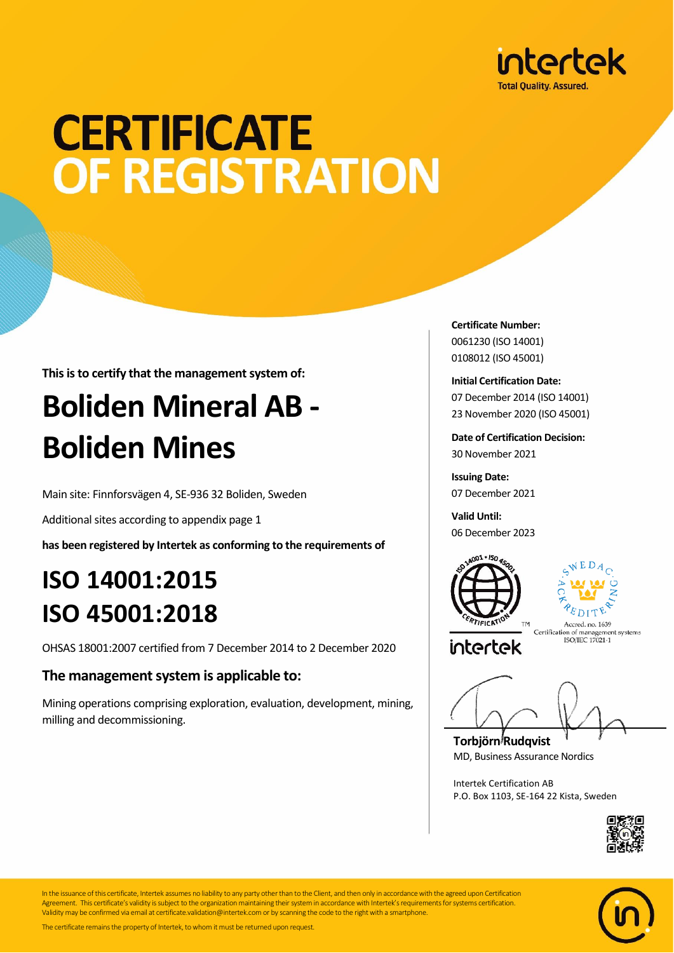

## **CERTIFICATE** OF REGISTRATION

**This is to certify that the management system of:**

## **Boliden Mineral AB - Boliden Mines**

Main site: Finnforsvägen 4, SE-936 32 Boliden, Sweden

Additional sites according to appendix page 1

**has been registered by Intertek as conforming to the requirements of**

### **ISO 14001:2015 ISO 45001:2018**

OHSAS 18001:2007 certified from 7 December 2014 to 2 December 2020

#### **The management system is applicable to:**

Mining operations comprising exploration, evaluation, development, mining, milling and decommissioning.

**Certificate Number:** 0061230 (ISO 14001) 0108012 (ISO 45001)

**Initial Certification Date:** 07 December 2014 (ISO 14001) 23 November 2020 (ISO 45001)

**Date of Certification Decision:** 30 November 2021

**Issuing Date:** 07 December 2021

**Valid Until:** 06 December 2023





intertek

Accred, no. 1639 Accred. no. 1039<br>Certification of management systems<br>ISO/IEC 17021-1

**Torbjörn Rudqvist** MD, Business Assurance Nordics

Intertek Certification AB P.O. Box 1103, SE-164 22 Kista, Sweden





In the issuance of this certificate, Intertek assumes no liability to any party other than to the Client, and then only in accordance with the agreed upon Certification Agreement. This certificate's validity is subject to the organization maintaining their system in accordance with Intertek's requirements for systems certification. Validity may be confirmed via email at certificate.validation@intertek.com or by scanning the code to the right with a smartphone.

The certificate remains the property of Intertek, to whom it must be returned upon request.